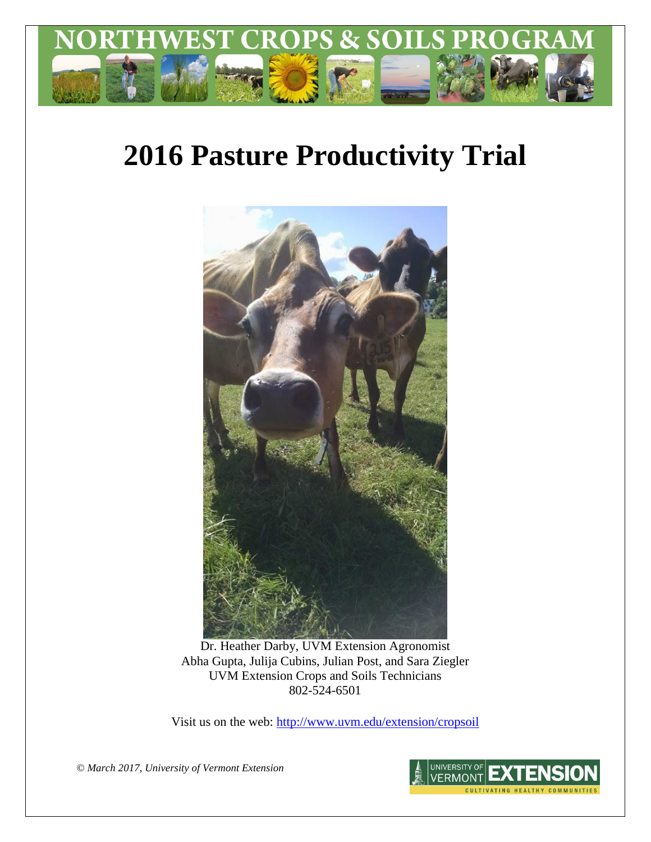

# **2016 Pasture Productivity Trial**



Dr. Heather Darby, UVM Extension Agronomist Abha Gupta, Julija Cubins, Julian Post, and Sara Ziegler UVM Extension Crops and Soils Technicians 802-524-6501

Visit us on the web: <http://www.uvm.edu/extension/cropsoil>

*© March 2017, University of Vermont Extension*

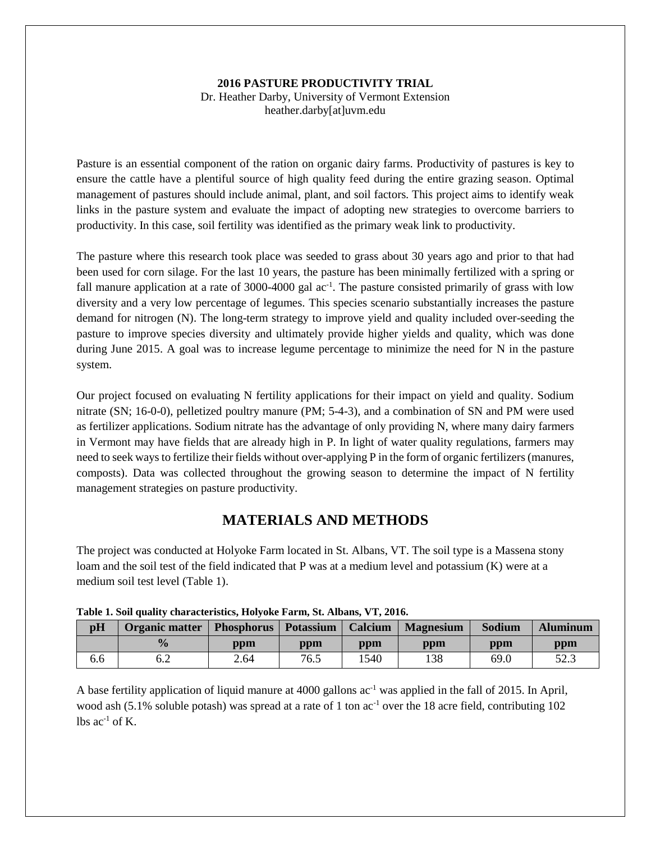### **2016 PASTURE PRODUCTIVITY TRIAL**

Dr. Heather Darby, University of Vermont Extension heather.darby[at]uvm.edu

Pasture is an essential component of the ration on organic dairy farms. Productivity of pastures is key to ensure the cattle have a plentiful source of high quality feed during the entire grazing season. Optimal management of pastures should include animal, plant, and soil factors. This project aims to identify weak links in the pasture system and evaluate the impact of adopting new strategies to overcome barriers to productivity. In this case, soil fertility was identified as the primary weak link to productivity.

The pasture where this research took place was seeded to grass about 30 years ago and prior to that had been used for corn silage. For the last 10 years, the pasture has been minimally fertilized with a spring or fall manure application at a rate of 3000-4000 gal ac<sup>-1</sup>. The pasture consisted primarily of grass with low diversity and a very low percentage of legumes. This species scenario substantially increases the pasture demand for nitrogen (N). The long-term strategy to improve yield and quality included over-seeding the pasture to improve species diversity and ultimately provide higher yields and quality, which was done during June 2015. A goal was to increase legume percentage to minimize the need for N in the pasture system.

Our project focused on evaluating N fertility applications for their impact on yield and quality. Sodium nitrate (SN; 16-0-0), pelletized poultry manure (PM; 5-4-3), and a combination of SN and PM were used as fertilizer applications. Sodium nitrate has the advantage of only providing N, where many dairy farmers in Vermont may have fields that are already high in P. In light of water quality regulations, farmers may need to seek ways to fertilize their fields without over-applying P in the form of organic fertilizers (manures, composts). Data was collected throughout the growing season to determine the impact of N fertility management strategies on pasture productivity.

# **MATERIALS AND METHODS**

The project was conducted at Holyoke Farm located in St. Albans, VT. The soil type is a Massena stony loam and the soil test of the field indicated that P was at a medium level and potassium (K) were at a medium soil test level (Table 1).

| pH  | Organic matter | <b>Phosphorus</b> | Potassium | Calcium                          | <b>Magnesium</b> | Sodium | <b>Aluminum</b> |
|-----|----------------|-------------------|-----------|----------------------------------|------------------|--------|-----------------|
|     | $\frac{0}{0}$  | ppm               | ppm       | $\mathbf{p}\mathbf{p}\mathbf{m}$ | ppm              | ppm    | ppm             |
| 6.6 | 6.2            | 2.64              | 76.5      | 1540                             | 138              | 69.0   | 52.3            |

| Table 1. Soil quality characteristics, Holyoke Farm, St. Albans, VT, 2016. |
|----------------------------------------------------------------------------|
|----------------------------------------------------------------------------|

A base fertility application of liquid manure at 4000 gallons  $ac^{-1}$  was applied in the fall of 2015. In April, wood ash (5.1% soluble potash) was spread at a rate of 1 ton  $ac^{-1}$  over the 18 acre field, contributing 102 lbs  $ac^{-1}$  of K.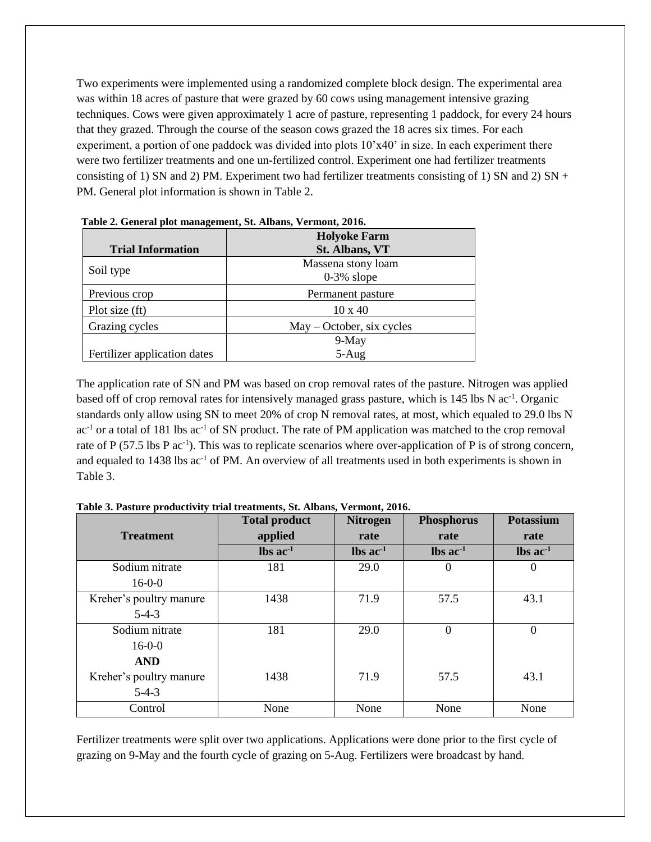Two experiments were implemented using a randomized complete block design. The experimental area was within 18 acres of pasture that were grazed by 60 cows using management intensive grazing techniques. Cows were given approximately 1 acre of pasture, representing 1 paddock, for every 24 hours that they grazed. Through the course of the season cows grazed the 18 acres six times. For each experiment, a portion of one paddock was divided into plots  $10'x40'$  in size. In each experiment there were two fertilizer treatments and one un-fertilized control. Experiment one had fertilizer treatments consisting of 1) SN and 2) PM. Experiment two had fertilizer treatments consisting of 1) SN and 2) SN + PM. General plot information is shown in Table 2.

| <b>Trial Information</b>     | <b>Holyoke Farm</b><br><b>St. Albans, VT</b> |
|------------------------------|----------------------------------------------|
| Soil type                    | Massena stony loam<br>$0-3\%$ slope          |
| Previous crop                | Permanent pasture                            |
| Plot size (ft)               | $10 \times 40$                               |
| Grazing cycles               | $May - October, six cycles$                  |
|                              | 9-May                                        |
| Fertilizer application dates | $5-Aug$                                      |

|  | Table 2. General plot management, St. Albans, Vermont, 2016. |  |  |
|--|--------------------------------------------------------------|--|--|
|  |                                                              |  |  |

The application rate of SN and PM was based on crop removal rates of the pasture. Nitrogen was applied based off of crop removal rates for intensively managed grass pasture, which is 145 lbs N ac<sup>-1</sup>. Organic standards only allow using SN to meet 20% of crop N removal rates, at most, which equaled to 29.0 lbs N  $ac<sup>-1</sup>$  or a total of 181 lbs  $ac<sup>-1</sup>$  of SN product. The rate of PM application was matched to the crop removal rate of P (57.5 lbs P  $ac^{-1}$ ). This was to replicate scenarios where over-application of P is of strong concern, and equaled to 1438 lbs ac<sup>-1</sup> of PM. An overview of all treatments used in both experiments is shown in Table 3.

|                         | <b>Total product</b>          | <b>Nitrogen</b>               | <b>Phosphorus</b>             | <b>Potassium</b>              |
|-------------------------|-------------------------------|-------------------------------|-------------------------------|-------------------------------|
| <b>Treatment</b>        | applied                       | rate                          | rate                          | rate                          |
|                         | $\text{lbs}$ ac <sup>-1</sup> | $\text{lbs}$ ac <sup>-1</sup> | $\text{lbs}$ ac <sup>-1</sup> | $\text{lbs}$ ac <sup>-1</sup> |
| Sodium nitrate          | 181                           | 29.0                          | $\theta$                      | $\Omega$                      |
| $16-0-0$                |                               |                               |                               |                               |
| Kreher's poultry manure | 1438                          | 71.9                          | 57.5                          | 43.1                          |
| $5-4-3$                 |                               |                               |                               |                               |
| Sodium nitrate          | 181                           | 29.0                          | $\mathbf{0}$                  | $\Omega$                      |
| $16-0-0$                |                               |                               |                               |                               |
| <b>AND</b>              |                               |                               |                               |                               |
| Kreher's poultry manure | 1438                          | 71.9                          | 57.5                          | 43.1                          |
| $5-4-3$                 |                               |                               |                               |                               |
| Control                 | None                          | None                          | None                          | None                          |

**Table 3. Pasture productivity trial treatments, St. Albans, Vermont, 2016.**

Fertilizer treatments were split over two applications. Applications were done prior to the first cycle of grazing on 9-May and the fourth cycle of grazing on 5-Aug. Fertilizers were broadcast by hand.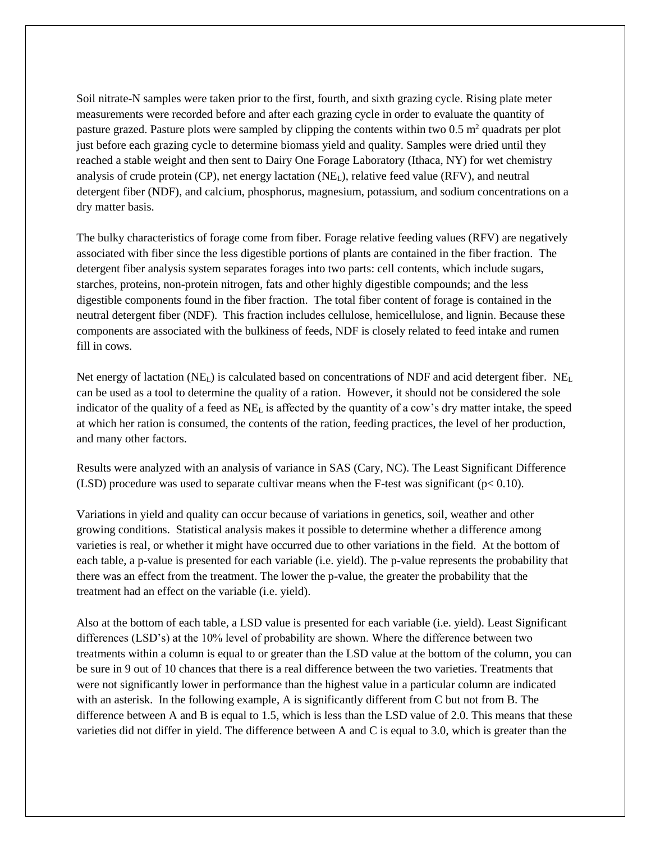Soil nitrate-N samples were taken prior to the first, fourth, and sixth grazing cycle. Rising plate meter measurements were recorded before and after each grazing cycle in order to evaluate the quantity of pasture grazed. Pasture plots were sampled by clipping the contents within two  $0.5 \text{ m}^2$  quadrats per plot just before each grazing cycle to determine biomass yield and quality. Samples were dried until they reached a stable weight and then sent to Dairy One Forage Laboratory (Ithaca, NY) for wet chemistry analysis of crude protein (CP), net energy lactation (NEL), relative feed value (RFV), and neutral detergent fiber (NDF), and calcium, phosphorus, magnesium, potassium, and sodium concentrations on a dry matter basis.

The bulky characteristics of forage come from fiber. Forage relative feeding values (RFV) are negatively associated with fiber since the less digestible portions of plants are contained in the fiber fraction. The detergent fiber analysis system separates forages into two parts: cell contents, which include sugars, starches, proteins, non-protein nitrogen, fats and other highly digestible compounds; and the less digestible components found in the fiber fraction. The total fiber content of forage is contained in the neutral detergent fiber (NDF). This fraction includes cellulose, hemicellulose, and lignin. Because these components are associated with the bulkiness of feeds, NDF is closely related to feed intake and rumen fill in cows.

Net energy of lactation (NE<sub>L</sub>) is calculated based on concentrations of NDF and acid detergent fiber. NE<sub>L</sub> can be used as a tool to determine the quality of a ration. However, it should not be considered the sole indicator of the quality of a feed as NE<sup>L</sup> is affected by the quantity of a cow's dry matter intake, the speed at which her ration is consumed, the contents of the ration, feeding practices, the level of her production, and many other factors.

Results were analyzed with an analysis of variance in SAS (Cary, NC). The Least Significant Difference (LSD) procedure was used to separate cultivar means when the F-test was significant ( $p < 0.10$ ).

Variations in yield and quality can occur because of variations in genetics, soil, weather and other growing conditions. Statistical analysis makes it possible to determine whether a difference among varieties is real, or whether it might have occurred due to other variations in the field. At the bottom of each table, a p-value is presented for each variable (i.e. yield). The p-value represents the probability that there was an effect from the treatment. The lower the p-value, the greater the probability that the treatment had an effect on the variable (i.e. yield).

Also at the bottom of each table, a LSD value is presented for each variable (i.e. yield). Least Significant differences (LSD's) at the 10% level of probability are shown. Where the difference between two treatments within a column is equal to or greater than the LSD value at the bottom of the column, you can be sure in 9 out of 10 chances that there is a real difference between the two varieties. Treatments that were not significantly lower in performance than the highest value in a particular column are indicated with an asterisk. In the following example, A is significantly different from C but not from B. The difference between A and B is equal to 1.5, which is less than the LSD value of 2.0. This means that these varieties did not differ in yield. The difference between A and C is equal to 3.0, which is greater than the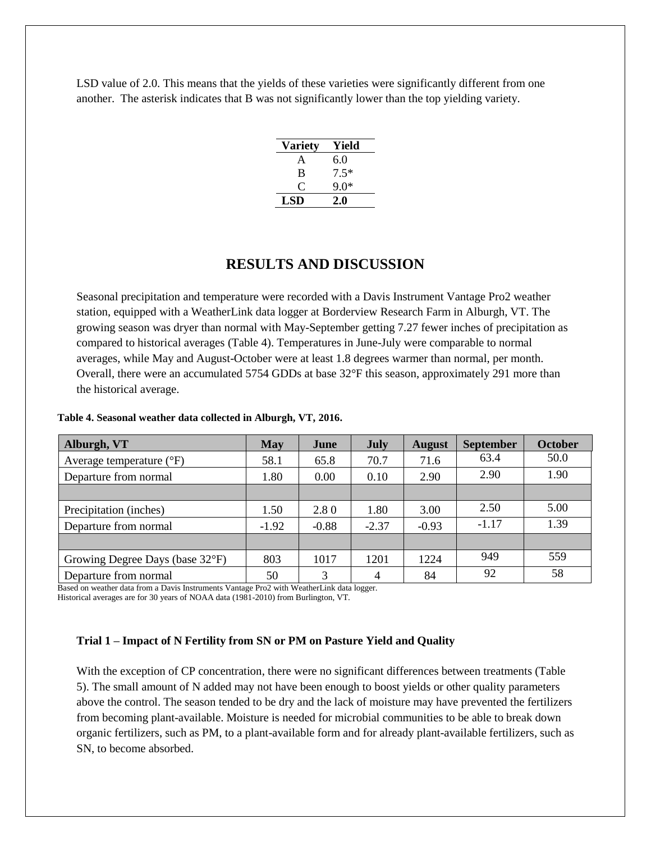LSD value of 2.0. This means that the yields of these varieties were significantly different from one another. The asterisk indicates that B was not significantly lower than the top yielding variety.

| <b>Variety</b> | Yield  |
|----------------|--------|
| A              | 6.0    |
| B              | $7.5*$ |
| 0              | $9.0*$ |
| LSD            | 2.0    |

# **RESULTS AND DISCUSSION**

Seasonal precipitation and temperature were recorded with a Davis Instrument Vantage Pro2 weather station, equipped with a WeatherLink data logger at Borderview Research Farm in Alburgh, VT. The growing season was dryer than normal with May-September getting 7.27 fewer inches of precipitation as compared to historical averages (Table 4). Temperatures in June-July were comparable to normal averages, while May and August-October were at least 1.8 degrees warmer than normal, per month. Overall, there were an accumulated 5754 GDDs at base 32°F this season, approximately 291 more than the historical average.

| Alburgh, VT                       | May     | June    | July    | <b>August</b> | <b>September</b> | <b>October</b> |
|-----------------------------------|---------|---------|---------|---------------|------------------|----------------|
| Average temperature $(^{\circ}F)$ | 58.1    | 65.8    | 70.7    | 71.6          | 63.4             | 50.0           |
| Departure from normal             | 1.80    | 0.00    | 0.10    | 2.90          | 2.90             | 1.90           |
|                                   |         |         |         |               |                  |                |
| Precipitation (inches)            | 1.50    | 2.80    | 1.80    | 3.00          | 2.50             | 5.00           |
| Departure from normal             | $-1.92$ | $-0.88$ | $-2.37$ | $-0.93$       | $-1.17$          | 1.39           |
|                                   |         |         |         |               |                  |                |
| Growing Degree Days (base 32°F)   | 803     | 1017    | 1201    | 1224          | 949              | 559            |
| Departure from normal             | 50      | 3       | 4       | 84            | 92               | 58             |

#### **Table 4. Seasonal weather data collected in Alburgh, VT, 2016.**

Based on weather data from a Davis Instruments Vantage Pro2 with WeatherLink data logger. Historical averages are for 30 years of NOAA data (1981-2010) from Burlington, VT.

## **Trial 1 – Impact of N Fertility from SN or PM on Pasture Yield and Quality**

With the exception of CP concentration, there were no significant differences between treatments (Table 5). The small amount of N added may not have been enough to boost yields or other quality parameters above the control. The season tended to be dry and the lack of moisture may have prevented the fertilizers from becoming plant-available. Moisture is needed for microbial communities to be able to break down organic fertilizers, such as PM, to a plant-available form and for already plant-available fertilizers, such as SN, to become absorbed.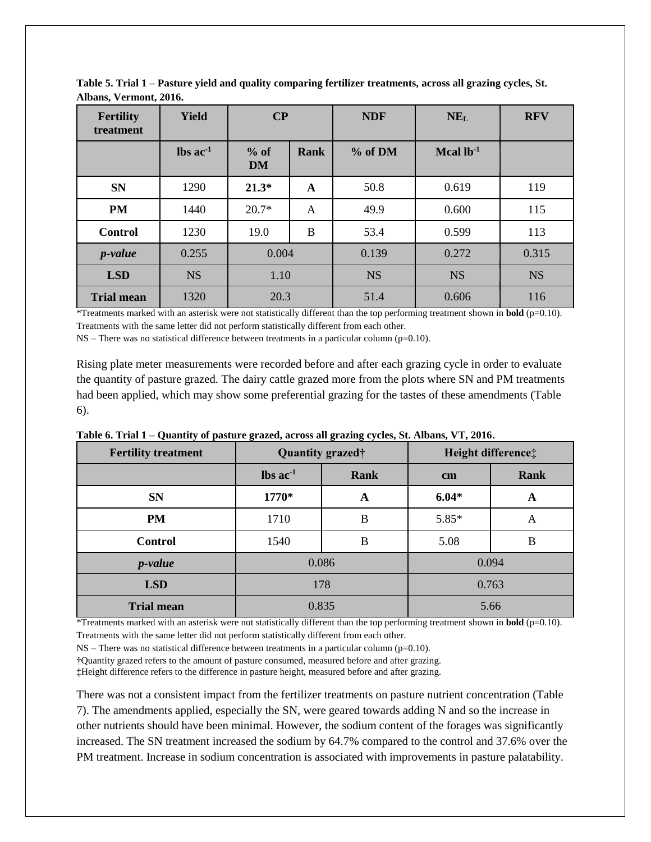| <b>Fertility</b><br>treatment | <b>Yield</b>                  | $\bf CP$            |      | <b>NDF</b> | NE <sub>L</sub> | <b>RFV</b> |
|-------------------------------|-------------------------------|---------------------|------|------------|-----------------|------------|
|                               | $\text{lbs}$ ac <sup>-1</sup> | $%$ of<br><b>DM</b> | Rank | % of DM    | Mcal $lb-1$     |            |
| <b>SN</b>                     | 1290                          | $21.3*$<br>A        |      | 50.8       | 0.619           | 119        |
| <b>PM</b>                     | 1440                          | $20.7*$             | A    | 49.9       | 0.600           | 115        |
| <b>Control</b>                | 1230                          | 19.0                | B    | 53.4       | 0.599           | 113        |
| <i>p</i> -value               | 0.255                         | 0.004               |      | 0.139      | 0.272           | 0.315      |
| <b>LSD</b>                    | <b>NS</b>                     | 1.10                |      | <b>NS</b>  | <b>NS</b>       | <b>NS</b>  |
| <b>Trial mean</b>             | 1320                          | 20.3                |      | 51.4       | 0.606           | 116        |

**Table 5. Trial 1 – Pasture yield and quality comparing fertilizer treatments, across all grazing cycles, St. Albans, Vermont, 2016.**

\*Treatments marked with an asterisk were not statistically different than the top performing treatment shown in **bold** (p=0.10). Treatments with the same letter did not perform statistically different from each other.

NS – There was no statistical difference between treatments in a particular column (p=0.10).

Rising plate meter measurements were recorded before and after each grazing cycle in order to evaluate the quantity of pasture grazed. The dairy cattle grazed more from the plots where SN and PM treatments had been applied, which may show some preferential grazing for the tastes of these amendments (Table 6).

| <b>Fertility treatment</b> | ັ                             | ັ້<br>Quantity grazed† | Height difference‡ |             |  |
|----------------------------|-------------------------------|------------------------|--------------------|-------------|--|
|                            | $\text{lbs}$ ac <sup>-1</sup> | <b>Rank</b>            | $\mathbf{cm}$      | <b>Rank</b> |  |
| <b>SN</b>                  | 1770*                         | A                      | $6.04*$            | A           |  |
| <b>PM</b>                  | 1710                          | B                      | $5.85*$            | A           |  |
| <b>Control</b>             | 1540                          | B                      | 5.08               | B           |  |
| <i>p</i> -value            |                               | 0.086                  |                    | 0.094       |  |
| <b>LSD</b>                 |                               | 178                    | 0.763              |             |  |
| <b>Trial mean</b>          |                               | 0.835                  | 5.66               |             |  |

**Table 6. Trial 1 – Quantity of pasture grazed, across all grazing cycles, St. Albans, VT, 2016.**

\*Treatments marked with an asterisk were not statistically different than the top performing treatment shown in **bold** (p=0.10). Treatments with the same letter did not perform statistically different from each other.

 $NS$  – There was no statistical difference between treatments in a particular column (p=0.10).

**†**Quantity grazed refers to the amount of pasture consumed, measured before and after grazing.

**‡**Height difference refers to the difference in pasture height, measured before and after grazing.

There was not a consistent impact from the fertilizer treatments on pasture nutrient concentration (Table 7). The amendments applied, especially the SN, were geared towards adding N and so the increase in other nutrients should have been minimal. However, the sodium content of the forages was significantly increased. The SN treatment increased the sodium by 64.7% compared to the control and 37.6% over the PM treatment. Increase in sodium concentration is associated with improvements in pasture palatability.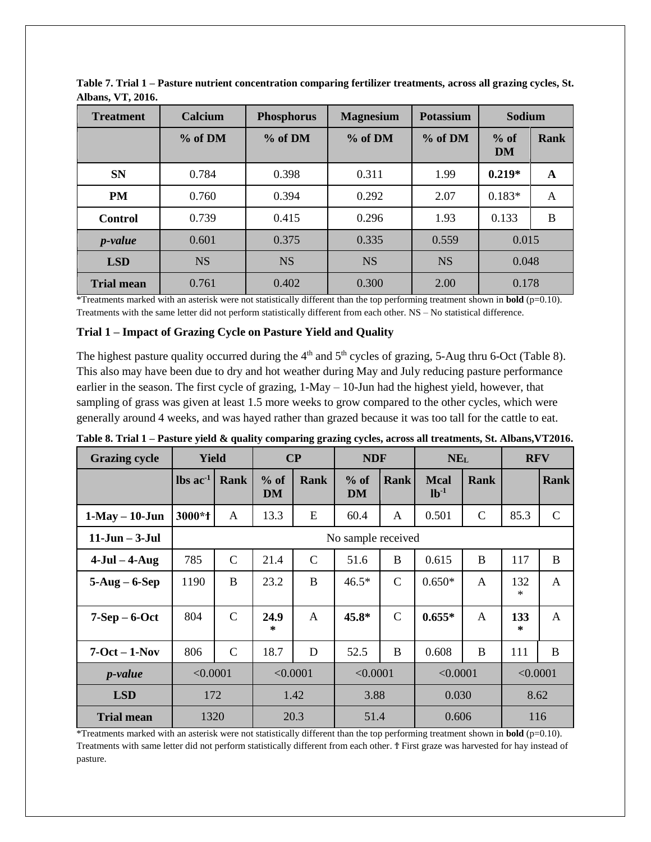| <b>Treatment</b>  | Calcium   | <b>Phosphorus</b> | <b>Magnesium</b> |           | <b>Sodium</b>       |             |
|-------------------|-----------|-------------------|------------------|-----------|---------------------|-------------|
|                   | % of DM   | % of DM           | % of DM          | % of DM   | $%$ of<br><b>DM</b> | <b>Rank</b> |
| <b>SN</b>         | 0.784     | 0.398             | 0.311            | 1.99      | $0.219*$            | A           |
| <b>PM</b>         | 0.760     | 0.394             | 0.292            | 2.07      | $0.183*$            | A           |
| <b>Control</b>    | 0.739     | 0.415             | 0.296            | 1.93      | 0.133               | B           |
| <i>p</i> -value   | 0.601     | 0.375             | 0.335            | 0.559     | 0.015               |             |
| <b>LSD</b>        | <b>NS</b> | <b>NS</b>         | <b>NS</b>        | <b>NS</b> | 0.048               |             |
| <b>Trial mean</b> | 0.761     | 0.402             | 0.300            | 2.00      | 0.178               |             |

**Table 7. Trial 1 – Pasture nutrient concentration comparing fertilizer treatments, across all grazing cycles, St. Albans, VT, 2016.**

\*Treatments marked with an asterisk were not statistically different than the top performing treatment shown in **bold** (p=0.10). Treatments with the same letter did not perform statistically different from each other. NS – No statistical difference.

# **Trial 1 – Impact of Grazing Cycle on Pasture Yield and Quality**

The highest pasture quality occurred during the  $4<sup>th</sup>$  and  $5<sup>th</sup>$  cycles of grazing, 5-Aug thru 6-Oct (Table 8). This also may have been due to dry and hot weather during May and July reducing pasture performance earlier in the season. The first cycle of grazing, 1-May – 10-Jun had the highest yield, however, that sampling of grass was given at least 1.5 more weeks to grow compared to the other cycles, which were generally around 4 weeks, and was hayed rather than grazed because it was too tall for the cattle to eat.

| <b>Grazing cycle</b> | <b>Yield</b>                  |               |                | $\bf CP$      | <b>NDF</b>         |               | NE <sub>L</sub>       |               | <b>RFV</b>    |               |
|----------------------|-------------------------------|---------------|----------------|---------------|--------------------|---------------|-----------------------|---------------|---------------|---------------|
|                      | $\text{lbs}$ ac <sup>-1</sup> | Rank          | $%$ of<br>DM   | <b>Rank</b>   | $%$ of<br>DM       | <b>Rank</b>   | <b>Mcal</b><br>$lb-1$ | <b>Rank</b>   |               | Rank          |
| $1-May - 10$ -Jun    | 3000*f                        | A             | 13.3           | E             | 60.4               | A             | 0.501                 | $\mathcal{C}$ | 85.3          | $\mathcal{C}$ |
| $11$ -Jun $-$ 3-Jul  |                               |               |                |               | No sample received |               |                       |               |               |               |
| $4-Jul - 4-Aug$      | 785                           | $\mathcal{C}$ | 21.4           | $\mathcal{C}$ | 51.6               | B             | 0.615                 | B             | 117           | $\bf{B}$      |
| $5-Aug - 6-Sep$      | 1190                          | B             | 23.2           | B             | $46.5*$            | $\mathcal{C}$ | $0.650*$              | A             | 132<br>$\ast$ | A             |
| $7-Sep-6-Oct$        | 804                           | $\mathcal{C}$ | 24.9<br>$\ast$ | $\mathbf{A}$  | 45.8*              | $\mathcal{C}$ | $0.655*$              | A             | 133<br>$\ast$ | $\mathsf{A}$  |
| $7-Oct - 1-Nov$      | 806                           | $\mathcal{C}$ | 18.7           | D             | 52.5               | B             | 0.608                 | B             | 111           | B             |
| <i>p</i> -value      | < 0.0001<br>< 0.0001          |               | < 0.0001       |               | < 0.0001           |               | < 0.0001              |               |               |               |
| <b>LSD</b>           | 172                           |               |                | 1.42          | 3.88               |               | 0.030                 |               | 8.62          |               |
| <b>Trial mean</b>    | 1320                          |               |                | 20.3          | 51.4               |               | 0.606                 |               | 116           |               |

| Table 8. Trial 1 – Pasture yield & quality comparing grazing cycles, across all treatments, St. Albans,VT2016. |  |  |
|----------------------------------------------------------------------------------------------------------------|--|--|

\*Treatments marked with an asterisk were not statistically different than the top performing treatment shown in **bold** (p=0.10). Treatments with same letter did not perform statistically different from each other. Ϯ First graze was harvested for hay instead of pasture.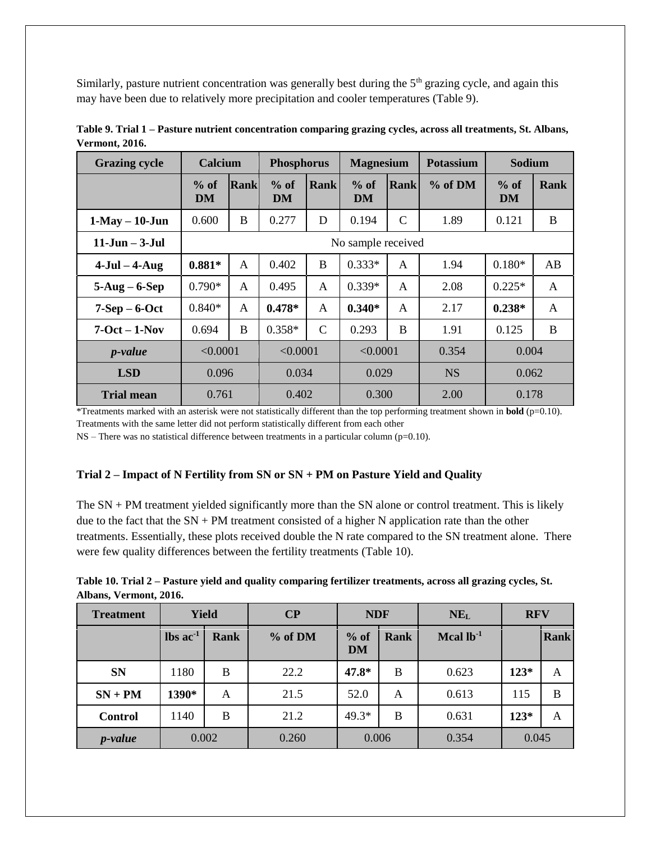Similarly, pasture nutrient concentration was generally best during the  $5<sup>th</sup>$  grazing cycle, and again this may have been due to relatively more precipitation and cooler temperatures (Table 9).

| <b>Grazing cycle</b> | Calcium      |                    | <b>Phosphorus</b> |                | <b>Magnesium</b> |               | <b>Potassium</b> | Sodium              |              |
|----------------------|--------------|--------------------|-------------------|----------------|------------------|---------------|------------------|---------------------|--------------|
|                      | $%$ of<br>DM | Rank               | $%$ of<br>DM      | <b>Rank</b>    | $%$ of<br>DM     | <b>Rank</b>   | % of DM          | $%$ of<br><b>DM</b> | Rank         |
| $1-May - 10$ -Jun    | 0.600        | B                  | 0.277             | D              | 0.194            | $\mathcal{C}$ | 1.89             | 0.121               | B            |
| $11-Jun - 3-Jul$     |              | No sample received |                   |                |                  |               |                  |                     |              |
| $4$ -Jul – $4$ -Aug  | $0.881*$     | A                  | 0.402             | B              | $0.333*$         | A             | 1.94             | $0.180*$            | AB           |
| $5-Aug - 6-Sep$      | $0.790*$     | A                  | 0.495             | A              | $0.339*$         | A             | 2.08             | $0.225*$            | $\mathsf{A}$ |
| $7-Sep-6-Oct$        | $0.840*$     | A                  | $0.478*$          | A              | $0.340*$         | A             | 2.17             | $0.238*$            | $\mathsf{A}$ |
| $7-Oct - 1-Nov$      | 0.694        | B                  | $0.358*$          | $\mathsf{C}$   | 0.293            | B             | 1.91             | 0.125               | B            |
| <i>p</i> -value      | < 0.0001     |                    | < 0.0001          |                | < 0.0001         |               | 0.354            | 0.004               |              |
| <b>LSD</b>           |              | 0.096              |                   | 0.034<br>0.029 |                  |               | <b>NS</b>        | 0.062               |              |
| <b>Trial mean</b>    | 0.761        |                    | 0.402             |                | 0.300            |               | 2.00             | 0.178               |              |

**Table 9. Trial 1 – Pasture nutrient concentration comparing grazing cycles, across all treatments, St. Albans, Vermont, 2016.**

\*Treatments marked with an asterisk were not statistically different than the top performing treatment shown in **bold** (p=0.10). Treatments with the same letter did not perform statistically different from each other

 $NS$  – There was no statistical difference between treatments in a particular column ( $p=0.10$ ).

## **Trial 2 – Impact of N Fertility from SN or SN + PM on Pasture Yield and Quality**

The SN + PM treatment yielded significantly more than the SN alone or control treatment. This is likely due to the fact that the SN + PM treatment consisted of a higher N application rate than the other treatments. Essentially, these plots received double the N rate compared to the SN treatment alone. There were few quality differences between the fertility treatments (Table 10).

| Table 10. Trial 2 – Pasture yield and quality comparing fertilizer treatments, across all grazing cycles, St. |  |
|---------------------------------------------------------------------------------------------------------------|--|
| Albans, Vermont, 2016.                                                                                        |  |

| <b>Treatment</b> | $\bf CP$<br><b>Yield</b>      |      |                             | <b>NDF</b>                  |        | NE <sub>L</sub> | <b>RFV</b> |      |
|------------------|-------------------------------|------|-----------------------------|-----------------------------|--------|-----------------|------------|------|
|                  | $\text{lbs}$ ac <sup>-1</sup> | Rank | % of DM                     | $%$ of<br>Rank<br><b>DM</b> |        | Mcal $lb^{-1}$  |            | Rank |
| <b>SN</b>        | 1180                          | B    | 22.2                        | 47.8*                       | B      | 0.623           | $123*$     | A    |
| $SN + PM$        | 1390*                         | A    | 21.5                        | 52.0                        | A      | 0.613           | 115        | B    |
| <b>Control</b>   | 1140                          | B    | 49.3*<br>21.2<br>B<br>0.631 |                             | $123*$ | A               |            |      |
| <i>p</i> -value  | 0.002                         |      | 0.260                       | 0.006                       |        | 0.354           | 0.045      |      |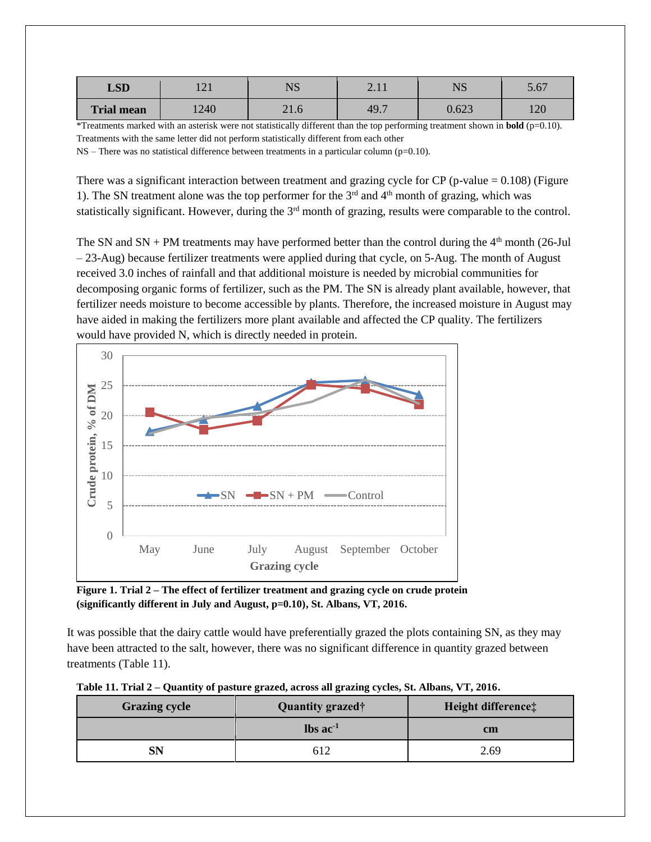| <b>LSD</b>        | $\sim$<br>1 ∠ 1 | $\sqrt{C}$<br>1 Y 1 J | ⌒<br>$\overline{2}$ . 1 | <b>NTC</b><br><b>UND</b> | 5.67              |
|-------------------|-----------------|-----------------------|-------------------------|--------------------------|-------------------|
| <b>Trial mean</b> | 1240            | 21.0                  | 49.7                    | 0.623                    | $\sqrt{2}$<br>⊥∠∪ |

\*Treatments marked with an asterisk were not statistically different than the top performing treatment shown in **bold** (p=0.10). Treatments with the same letter did not perform statistically different from each other

NS – There was no statistical difference between treatments in a particular column (p=0.10).

There was a significant interaction between treatment and grazing cycle for  $CP$  (p-value = 0.108) (Figure 1). The SN treatment alone was the top performer for the  $3<sup>rd</sup>$  and  $4<sup>th</sup>$  month of grazing, which was statistically significant. However, during the 3<sup>rd</sup> month of grazing, results were comparable to the control.

The SN and SN + PM treatments may have performed better than the control during the  $4<sup>th</sup>$  month (26-Jul – 23-Aug) because fertilizer treatments were applied during that cycle, on 5-Aug. The month of August received 3.0 inches of rainfall and that additional moisture is needed by microbial communities for decomposing organic forms of fertilizer, such as the PM. The SN is already plant available, however, that fertilizer needs moisture to become accessible by plants. Therefore, the increased moisture in August may have aided in making the fertilizers more plant available and affected the CP quality. The fertilizers would have provided N, which is directly needed in protein.



**Figure 1. Trial 2 – The effect of fertilizer treatment and grazing cycle on crude protein (significantly different in July and August, p=0.10), St. Albans, VT, 2016.** 

It was possible that the dairy cattle would have preferentially grazed the plots containing SN, as they may have been attracted to the salt, however, there was no significant difference in quantity grazed between treatments (Table 11).

| Table 11. Trial 2 – Quantity of pasture grazed, across all grazing cycles, St. Albans, VT, 2016. |  |  |  |
|--------------------------------------------------------------------------------------------------|--|--|--|
|                                                                                                  |  |  |  |
|                                                                                                  |  |  |  |

| <b>Grazing cycle</b> | Quantity grazed <sup>+</sup>  | Height difference: |
|----------------------|-------------------------------|--------------------|
|                      | $\text{lbs}$ ac <sup>-1</sup> | <b>cm</b>          |
| SN                   |                               | 2.69               |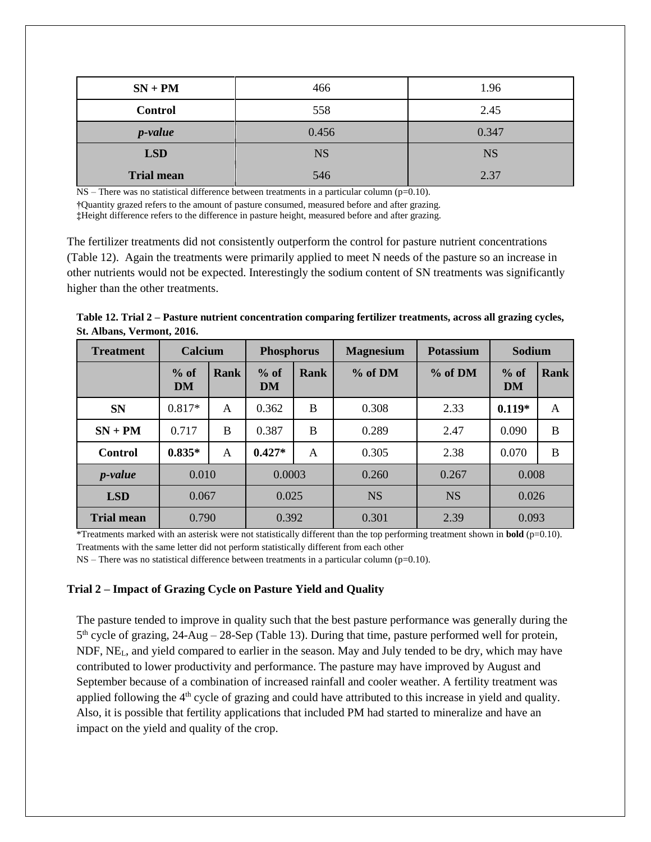| $SN + PM$         | 466       | 1.96      |
|-------------------|-----------|-----------|
| <b>Control</b>    | 558       | 2.45      |
| <i>p</i> -value   | 0.456     | 0.347     |
| <b>LSD</b>        | <b>NS</b> | <b>NS</b> |
| <b>Trial mean</b> | 546       | 2.37      |

NS – There was no statistical difference between treatments in a particular column (p=0.10).

**†**Quantity grazed refers to the amount of pasture consumed, measured before and after grazing.

**‡**Height difference refers to the difference in pasture height, measured before and after grazing.

The fertilizer treatments did not consistently outperform the control for pasture nutrient concentrations (Table 12). Again the treatments were primarily applied to meet N needs of the pasture so an increase in other nutrients would not be expected. Interestingly the sodium content of SN treatments was significantly higher than the other treatments.

**Table 12. Trial 2 – Pasture nutrient concentration comparing fertilizer treatments, across all grazing cycles, St. Albans, Vermont, 2016.**

| <b>Treatment</b>  | <b>Calcium</b>      |      | <b>Phosphorus</b>   |      | <b>Magnesium</b> | <b>Potassium</b> | Sodium              |             |
|-------------------|---------------------|------|---------------------|------|------------------|------------------|---------------------|-------------|
|                   | $%$ of<br><b>DM</b> | Rank | $%$ of<br><b>DM</b> | Rank | % of DM          | % of DM          | $%$ of<br><b>DM</b> | <b>Rank</b> |
| <b>SN</b>         | $0.817*$            | A    | 0.362               | B    | 0.308            | 2.33             | $0.119*$            | A           |
| $SN + PM$         | 0.717               | B    | 0.387<br>B          |      | 0.289            | 2.47             | 0.090               | B           |
| <b>Control</b>    | $0.835*$            | A    | $0.427*$            | A    | 0.305            | 2.38             | 0.070               | B           |
| <i>p</i> -value   | 0.010               |      | 0.0003              |      | 0.260            | 0.267            | 0.008               |             |
| <b>LSD</b>        | 0.067               |      | 0.025               |      | <b>NS</b>        | <b>NS</b>        | 0.026               |             |
| <b>Trial mean</b> | 0.790               |      | 0.392               |      | 0.301            | 2.39             | 0.093               |             |

\*Treatments marked with an asterisk were not statistically different than the top performing treatment shown in **bold** (p=0.10). Treatments with the same letter did not perform statistically different from each other

 $NS$  – There was no statistical difference between treatments in a particular column ( $p=0.10$ ).

#### **Trial 2 – Impact of Grazing Cycle on Pasture Yield and Quality**

The pasture tended to improve in quality such that the best pasture performance was generally during the 5<sup>th</sup> cycle of grazing, 24-Aug – 28-Sep (Table 13). During that time, pasture performed well for protein, NDF,  $NE<sub>L</sub>$ , and yield compared to earlier in the season. May and July tended to be dry, which may have contributed to lower productivity and performance. The pasture may have improved by August and September because of a combination of increased rainfall and cooler weather. A fertility treatment was applied following the  $4<sup>th</sup>$  cycle of grazing and could have attributed to this increase in yield and quality. Also, it is possible that fertility applications that included PM had started to mineralize and have an impact on the yield and quality of the crop.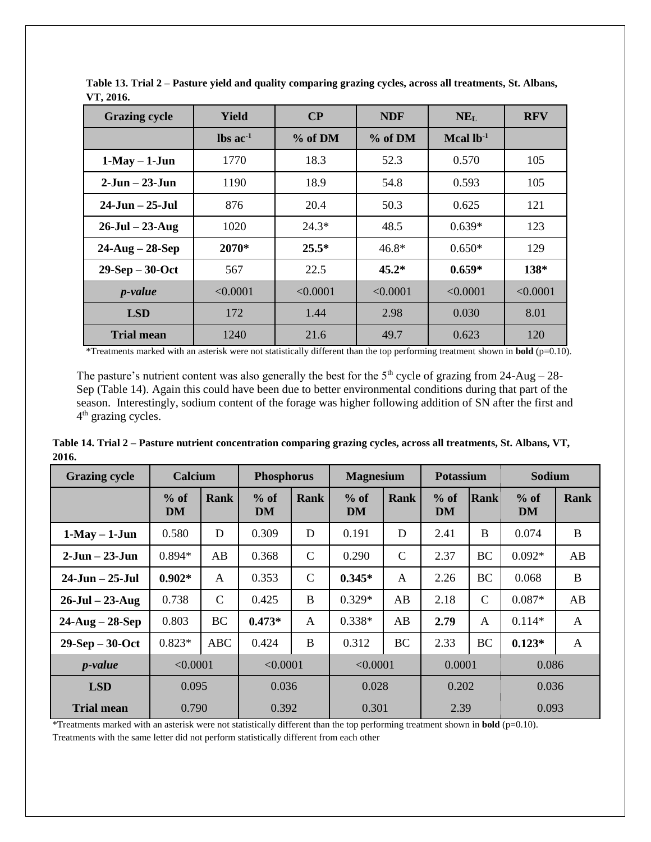| <b>Grazing cycle</b>  | Yield                         | $\bf CP$ | <b>NDF</b> | NE <sub>L</sub>         | <b>RFV</b> |
|-----------------------|-------------------------------|----------|------------|-------------------------|------------|
|                       | $\text{lbs}$ ac <sup>-1</sup> | % of DM  | $%$ of DM  | $Mcal$ lb <sup>-1</sup> |            |
| $1-May - 1-Jun$       | 1770                          | 18.3     | 52.3       | 0.570                   | 105        |
| $2-Jun - 23-Jun$      | 1190                          | 18.9     | 54.8       | 0.593                   | 105        |
| $24$ -Jun $-25$ -Jul  | 876                           | 20.4     | 50.3       | 0.625                   | 121        |
| $26$ -Jul – $23$ -Aug | 1020                          | $24.3*$  | 48.5       | $0.639*$                | 123        |
| $24$ -Aug – $28$ -Sep | 2070*                         | $25.5*$  | $46.8*$    | $0.650*$                | 129        |
| $29-Sep-30-Oct$       | 567                           | 22.5     | $45.2*$    | $0.659*$                | $138*$     |
| $p$ -value            | < 0.0001                      | < 0.0001 | < 0.0001   | < 0.0001                | < 0.0001   |
| <b>LSD</b>            | 172                           | 1.44     | 2.98       | 0.030                   | 8.01       |
| <b>Trial mean</b>     | 1240                          | 21.6     | 49.7       | 0.623                   | 120        |

**Table 13. Trial 2 – Pasture yield and quality comparing grazing cycles, across all treatments, St. Albans, VT, 2016.**

\*Treatments marked with an asterisk were not statistically different than the top performing treatment shown in **bold** (p=0.10).

The pasture's nutrient content was also generally the best for the  $5<sup>th</sup>$  cycle of grazing from 24-Aug – 28-Sep (Table 14). Again this could have been due to better environmental conditions during that part of the season. Interestingly, sodium content of the forage was higher following addition of SN after the first and 4<sup>th</sup> grazing cycles.

**Table 14. Trial 2 – Pasture nutrient concentration comparing grazing cycles, across all treatments, St. Albans, VT, 2016.**

| <b>Grazing cycle</b>  | <b>Calcium</b> |              | <b>Phosphorus</b> |              | <b>Magnesium</b>    |              | <b>Potassium</b> |              | <b>Sodium</b> |          |
|-----------------------|----------------|--------------|-------------------|--------------|---------------------|--------------|------------------|--------------|---------------|----------|
|                       | $%$ of<br>DM   | Rank         | $%$ of<br>DM      | <b>Rank</b>  | $%$ of<br><b>DM</b> | Rank         | $%$ of<br>DM     | Rank         | $%$ of<br>DM  | Rank     |
| $1-May - 1-Jun$       | 0.580          | D            | 0.309             | D            | 0.191               | D            | 2.41             | B            | 0.074         | $\bf{B}$ |
| $2-Jun - 23-Jun$      | $0.894*$       | AB           | 0.368             | $\mathsf{C}$ | 0.290               | $\mathbf C$  | 2.37             | <b>BC</b>    | $0.092*$      | AB       |
| $24$ -Jun $-25$ -Jul  | $0.902*$       | A            | 0.353             | $\mathbf C$  | $0.345*$            | $\mathsf{A}$ | 2.26             | <b>BC</b>    | 0.068         | $\bf{B}$ |
| $26$ -Jul $- 23$ -Aug | 0.738          | $\mathsf{C}$ | 0.425             | $\bf{B}$     | $0.329*$            | AB           | 2.18             | $\mathsf{C}$ | $0.087*$      | AB       |
| $24$ -Aug – $28$ -Sep | 0.803          | <b>BC</b>    | $0.473*$          | $\mathbf{A}$ | $0.338*$            | AB           | 2.79             | A            | $0.114*$      | A        |
| $29-Sep-30-Oct$       | $0.823*$       | <b>ABC</b>   | 0.424             | B            | 0.312               | <b>BC</b>    | 2.33             | <b>BC</b>    | $0.123*$      | A        |
| $p$ -value            | < 0.0001       |              | < 0.0001          |              | < 0.0001            |              | 0.0001           |              | 0.086         |          |
| <b>LSD</b>            | 0.095          |              | 0.036             |              | 0.028               |              | 0.202            |              | 0.036         |          |
| <b>Trial mean</b>     | 0.790          |              | 0.392             |              | 0.301               |              | 2.39             |              | 0.093         |          |

\*Treatments marked with an asterisk were not statistically different than the top performing treatment shown in **bold** (p=0.10).

Treatments with the same letter did not perform statistically different from each other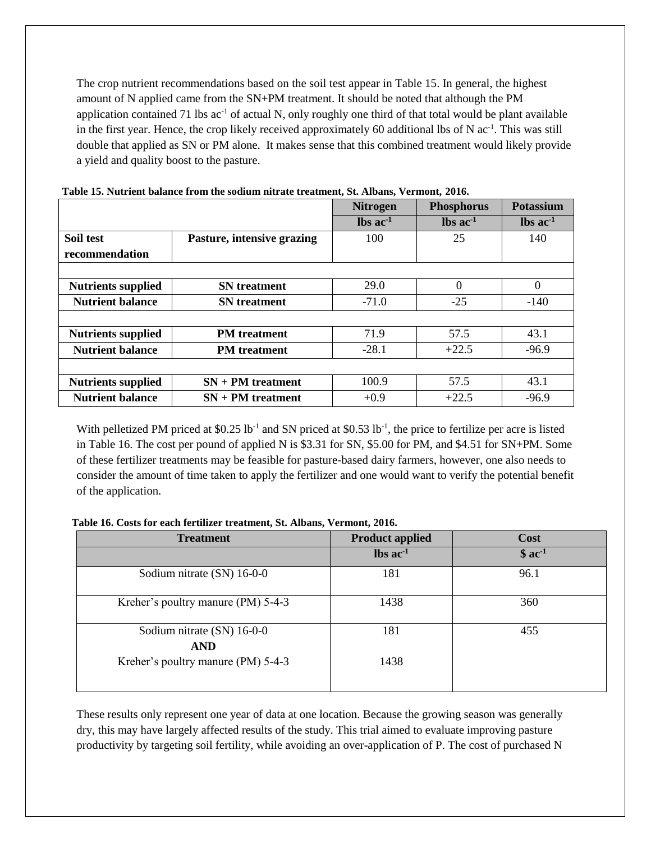The crop nutrient recommendations based on the soil test appear in Table 15. In general, the highest amount of N applied came from the SN+PM treatment. It should be noted that although the PM application contained 71 lbs  $ac^{-1}$  of actual N, only roughly one third of that total would be plant available in the first year. Hence, the crop likely received approximately 60 additional lbs of N ac<sup>-1</sup>. This was still double that applied as SN or PM alone. It makes sense that this combined treatment would likely provide a yield and quality boost to the pasture.

|                           |                            | <b>Nitrogen</b>               | <b>Phosphorus</b>             | <b>Potassium</b>              |
|---------------------------|----------------------------|-------------------------------|-------------------------------|-------------------------------|
|                           |                            | $\text{lbs}$ ac <sup>-1</sup> | $\text{lbs}$ ac <sup>-1</sup> | $\text{lbs}$ ac <sup>-1</sup> |
| Soil test                 | Pasture, intensive grazing | 100                           | 25                            | 140                           |
| recommendation            |                            |                               |                               |                               |
|                           |                            |                               |                               |                               |
| <b>Nutrients supplied</b> | <b>SN</b> treatment        | 29.0                          | $\theta$                      | $\Omega$                      |
| <b>Nutrient balance</b>   | <b>SN</b> treatment        | $-71.0$                       | $-25$                         | $-140$                        |
|                           |                            |                               |                               |                               |
| <b>Nutrients supplied</b> | <b>PM</b> treatment        | 71.9                          | 57.5                          | 43.1                          |
| <b>Nutrient balance</b>   | <b>PM</b> treatment        | $-28.1$                       | $+22.5$                       | $-96.9$                       |
|                           |                            |                               |                               |                               |
| <b>Nutrients supplied</b> | $SN + PM$ treatment        | 100.9                         | 57.5                          | 43.1                          |
| <b>Nutrient balance</b>   | $SN + PM$ treatment        | $+0.9$                        | $+22.5$                       | $-96.9$                       |

| Table 15. Nutrient balance from the sodium nitrate treatment, St. Albans, Vermont, 2016. |  |  |  |  |  |  |  |
|------------------------------------------------------------------------------------------|--|--|--|--|--|--|--|
|------------------------------------------------------------------------------------------|--|--|--|--|--|--|--|

With pelletized PM priced at  $$0.25$  lb<sup>-1</sup> and SN priced at  $$0.53$  lb<sup>-1</sup>, the price to fertilize per acre is listed in Table 16. The cost per pound of applied N is \$3.31 for SN, \$5.00 for PM, and \$4.51 for SN+PM. Some of these fertilizer treatments may be feasible for pasture-based dairy farmers, however, one also needs to consider the amount of time taken to apply the fertilizer and one would want to verify the potential benefit of the application.

**Table 16. Costs for each fertilizer treatment, St. Albans, Vermont, 2016.** 

| <b>Treatment</b>                         | <b>Product applied</b>        | <b>Cost</b> |
|------------------------------------------|-------------------------------|-------------|
|                                          | $\text{lbs}$ ac <sup>-1</sup> | $$ac-1$     |
| Sodium nitrate (SN) 16-0-0               | 181                           | 96.1        |
| Kreher's poultry manure (PM) 5-4-3       | 1438                          | 360         |
| Sodium nitrate (SN) 16-0-0<br><b>AND</b> | 181                           | 455         |
| Kreher's poultry manure (PM) 5-4-3       | 1438                          |             |

These results only represent one year of data at one location. Because the growing season was generally dry, this may have largely affected results of the study. This trial aimed to evaluate improving pasture productivity by targeting soil fertility, while avoiding an over-application of P. The cost of purchased N